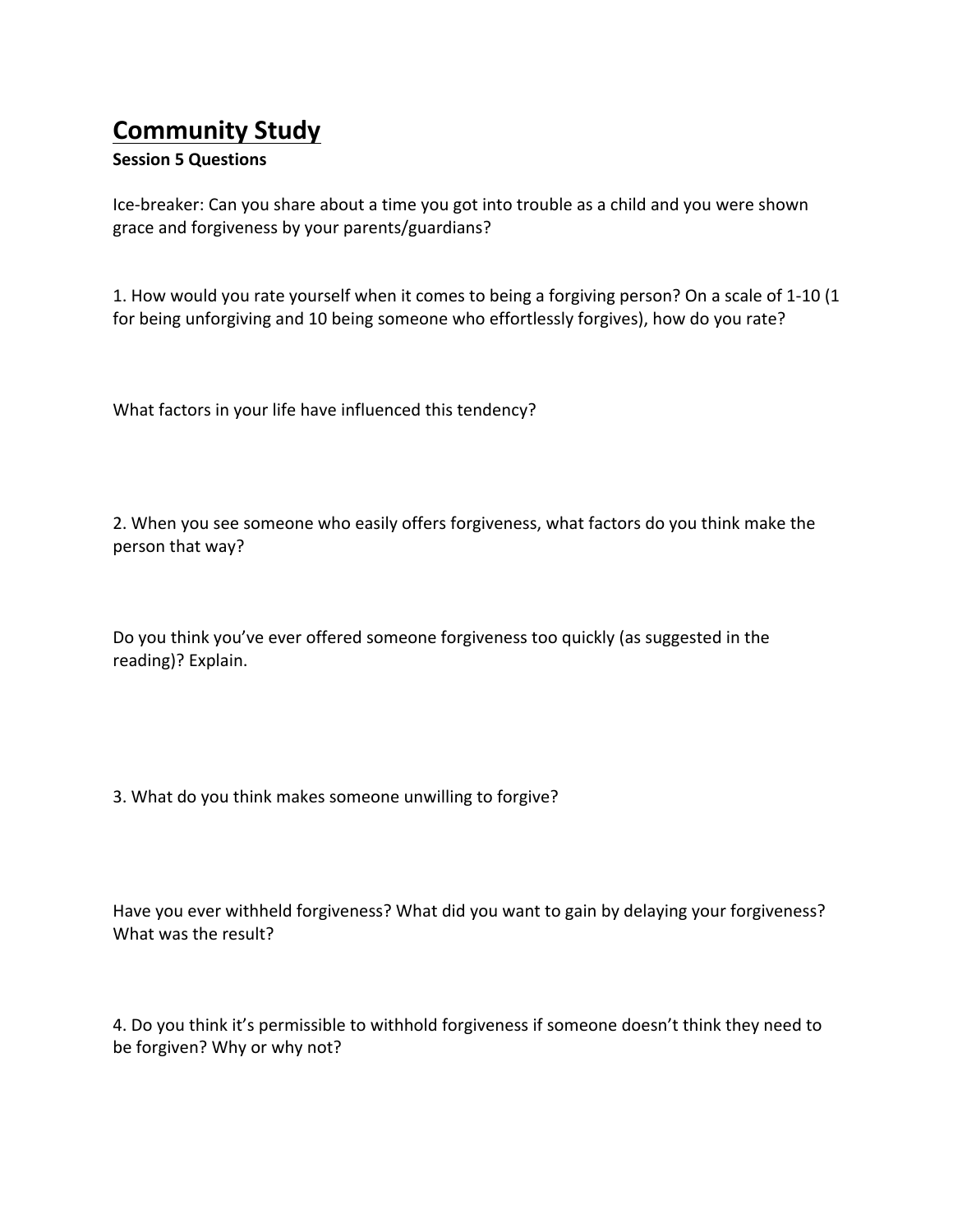## **Community Study**

## **Session 5 Questions**

Ice-breaker: Can you share about a time you got into trouble as a child and you were shown grace and forgiveness by your parents/guardians?

1. How would you rate yourself when it comes to being a forgiving person? On a scale of 1-10 (1 for being unforgiving and 10 being someone who effortlessly forgives), how do you rate?

What factors in your life have influenced this tendency?

2. When you see someone who easily offers forgiveness, what factors do you think make the person that way?

Do you think you've ever offered someone forgiveness too quickly (as suggested in the reading)? Explain.

3. What do you think makes someone unwilling to forgive?

Have you ever withheld forgiveness? What did you want to gain by delaying your forgiveness? What was the result?

4. Do you think it's permissible to withhold forgiveness if someone doesn't think they need to be forgiven? Why or why not?